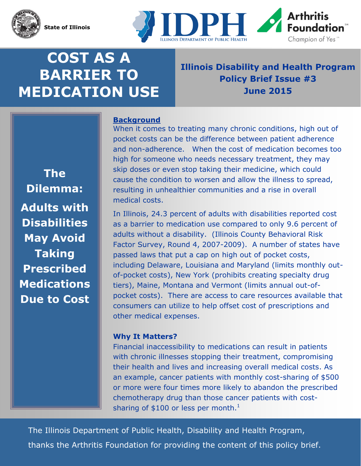

**State of Illinois** 



# **COST AS A BARRIER TO MEDICATION USE**

# **Illinois Disability and Health Program Policy Brief Issue #3 June 2015**

**The Dilemma: Adults with Disabilities May Avoid Taking Prescribed Medications Due to Cost** 

# **Background**

When it comes to treating many chronic conditions, high out of pocket costs can be the difference between patient adherence and non-adherence. When the cost of medication becomes too high for someone who needs necessary treatment, they may skip doses or even stop taking their medicine, which could cause the condition to worsen and allow the illness to spread, resulting in unhealthier communities and a rise in overall medical costs.

In Illinois, 24.3 percent of adults with disabilities reported cost as a barrier to medication use compared to only 9.6 percent of adults without a disability. (Illinois County Behavioral Risk Factor Survey, Round 4, 2007-2009). A number of states have passed laws that put a cap on high out of pocket costs, including Delaware, Louisiana and Maryland (limits monthly outof-pocket costs), New York (prohibits creating specialty drug tiers), Maine, Montana and Vermont (limits annual out-ofpocket costs). There are access to care resources available that consumers can utilize to help offset cost of prescriptions and other medical expenses.

## **Why It Matters?**

Financial inaccessibility to medications can result in patients with chronic illnesses stopping their treatment, compromising their health and lives and increasing overall medical costs. As an example, cancer patients with monthly cost-sharing of \$500 or more were four times more likely to abandon the prescribed chemotherapy drug than those cancer patients with costsharing of \$100 or less per month. $^1$ 

The Illinois Department of Public Health, Disability and Health Program, thanks the Arthritis Foundation for providing the content of this policy brief.